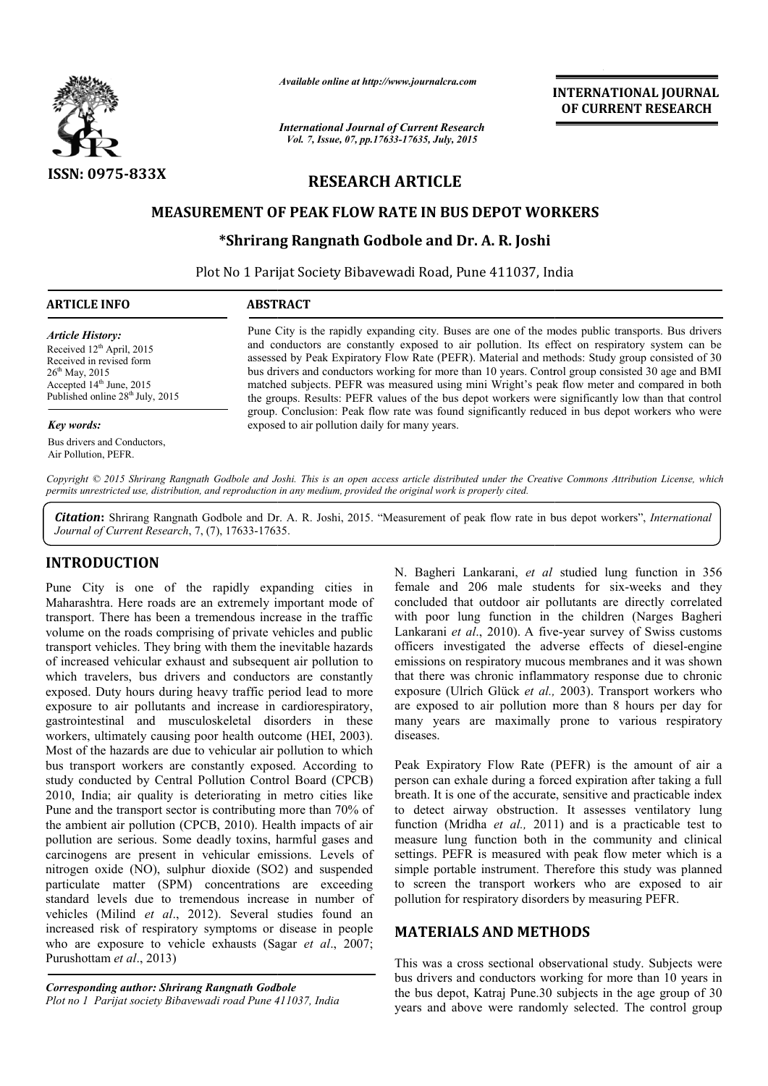

*Available online at http://www.journalcra.com*

*International Journal of Current Research Vol. 7, Issue, 07, pp.17633-17635, July, 2015*

**INTERNATIONAL INTERNATIONAL JOURNAL OF CURRENT RESEARCH** 

# **RESEARCH ARTICLE**

# **MEASUREMENT OF PEAK FLOW RATE IN BUS DEPOT WORKERS PEAK FLOW**

## **\*Shrirang Rangnath Godbole Shrirang and Dr. A. R. Joshi**

Plot No 1 Parijat Society Bibavewadi Road, Pune 411037, India

| 'ICLE INFO<br>חמו<br>. RACT<br>ARTIC |  |  |
|--------------------------------------|--|--|
|                                      |  |  |

#### *Article History:*

Received  $12<sup>th</sup>$  April, 2015 Received in revised form  $26^{th}$  May, 2015 Accepted 14<sup>th</sup> June, 2015 Published online  $28^{th}$  July, 2015

#### *Key words:*

Bus drivers and Conductors, Air Pollution, PEFR.

Pune City is the rapidly expanding city. Buses are one of the modes public transports. Bus drivers Pune City is the rapidly expanding city. Buses are one of the modes public transports. Bus drivers and conductors are constantly exposed to air pollution. Its effect on respiratory system can be assessed by Peak Expiratory Flow Rate (PEFR). Material and methods: Study group consisted of 30 bus drivers and conductors working for more than 10 years. Control group consisted 30 age and BMI matched subjects. PEFR was measured using mini Wright's peak flow meter and compared in both the groups. Results: PEFR values of the bus depot workers were significantly low than that control group. Conclusion: Peak flow rate was found significantly reduced in bus depot workers who were exposed to air pollution daily for many years. d by Peak Expiratory Flow Rate (PEFR). Material and methods: Study group consisted of 30 vers and conductors working for more than 10 years. Control group consisted 30 age and BMI d subjects. PEFR was measured using mini W

Copyright © 2015 Shrirang Rangnath Godbole and Joshi. This is an open access article distributed under the Creative Commons Attribution License, which *permits unrestricted use, distribution, and reproduction in any medium, provided the original work is properly cited.*

Citation: Shrirang Rangnath Godbole and Dr. A. R. Joshi, 2015. "Measurement of peak flow rate in bus depot workers", *International Journal of Current Research*, 7, (7), 17633-17635 17635.

# **INTRODUCTION**

Pune City is one of the rapidly expanding cities in Maharashtra. Here roads are an extremely important mode of transport. There has been a tremendous increase in the traffic volume on the roads comprising of private vehicles and public transport vehicles. They bring with them the inevitable hazards of increased vehicular exhaust and subsequent air pollution to which travelers, bus drivers and conductors are constantly exposed. Duty hours during heavy traffic period lead to more exposure to air pollutants and increase in cardiorespiratory, gastrointestinal and musculoskeletal disorders in these workers, ultimately causing poor health outcome (HEI, 2003). Most of the hazards are due to vehicular air pollution to which bus transport workers are constantly exposed. According to study conducted by Central Pollution Control Board (CPCB) 2010, India; air quality is deteriorating in metro cities like Pune and the transport sector is contributing more than 70% of the ambient air pollution (CPCB, 2010). Health impacts of air pollution are serious. Some deadly toxins, harmful gases and carcinogens are present in vehicular emissions. Levels of nitrogen oxide (NO), sulphur dioxide (SO2) and suspended particulate matter (SPM) concentrations are exceeding standard levels due to tremendous increase in number of vehicles (Milind *et al*., 2012). Several studies found an increased risk of respiratory symptoms or disease in people who are exposure to vehicle exhausts (Sagar *et al*., 2007; Purushottam *et al*., 2013)

*Corresponding author: Shrirang Rangnath Godbole Plot no 1 Parijat society Bibavewadi road Pune 411037, India*

N. Bagheri Lankarani, *et al* studied lung function in 356 female and 206 male students for six-weeks and they concluded that outdoor air pollutants are directly correlated concluded that outdoor air pollutants are directly correlated with poor lung function in the children (Narges Bagheri Lankarani et al., 2010). A five-year survey of Swiss customs officers investigated the adverse effects of diesel-engine emissions on respiratory mucous membranes and it was shown that there was chronic inflammatory response due to chronic exposure (Ulrich Glück et al., 2003). Transport workers who are exposed to air pollution more than 8 hours per day for many years are maximally prone to various respiratory diseases. all to air pollution more than 8 hours per day for years are maximally prone to various respiratory es.<br>Expiratory Flow Rate (PEFR) is the amount of air a **INTERNATIONAL JOURNAL OF CURRENT RESEARCH OF CURRENT RESEARCH CHE (DETREMENT RESEARCH AND (SOFT) THAND (10 years and more than the more of the modes is Subject) were non-thermial and more than the more interest and the v** 

Peak Expiratory Flow Rate (PEFR) is the amount of air a person can exhale during a forced expiration after taking a full person can exhale during a forced expiration after taking a full breath. It is one of the accurate, sensitive and practicable index to detect airway obstruction. It assesses ventilatory lung function (Mridha *et al.,* 2011) and is a practicable test to measure lung function both in the community and clinical settings. PEFR is measured with peak flow meter which is a simple portable instrument. Therefore this study was planned measure lung function both in the community and clinical settings. PEFR is measured with peak flow meter which is a simple portable instrument. Therefore this study was planned to screen the transport workers who are expos pollution for respiratory disorders by measuring PEFR.

### **MATERIALS AND METHODS METHODS**

This was a cross sectional observational study. Subjects were bus drivers and conductors working for more than 10 years in the bus depot, Katraj Pune.30 subjects in the age group of 30 years and above were randomly selected. The control group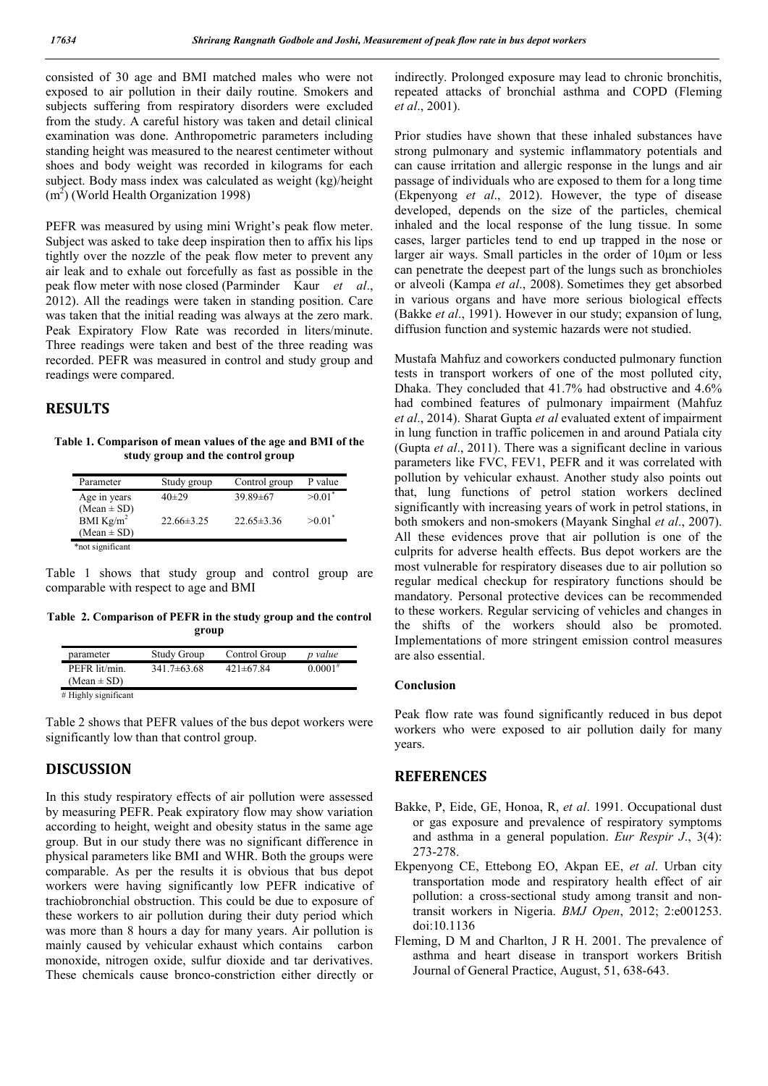consisted of 30 age and BMI matched males who were not exposed to air pollution in their daily routine. Smokers and subjects suffering from respiratory disorders were excluded from the study. A careful history was taken and detail clinical examination was done. Anthropometric parameters including standing height was measured to the nearest centimeter without shoes and body weight was recorded in kilograms for each subject. Body mass index was calculated as weight (kg)/height  $(m<sup>2</sup>)$  (World Health Organization 1998)

PEFR was measured by using mini Wright's peak flow meter. Subject was asked to take deep inspiration then to affix his lips tightly over the nozzle of the peak flow meter to prevent any air leak and to exhale out forcefully as fast as possible in the peak flow meter with nose closed (Parminder Kaur *et al*., 2012). All the readings were taken in standing position. Care was taken that the initial reading was always at the zero mark. Peak Expiratory Flow Rate was recorded in liters/minute. Three readings were taken and best of the three reading was recorded. PEFR was measured in control and study group and readings were compared.

# **RESULTS**

**Table 1. Comparison of mean values of the age and BMI of the study group and the control group**

| Parameter                       | Study group      | Control group    | P value              |
|---------------------------------|------------------|------------------|----------------------|
| Age in years                    | $40+29$          | $39.89 \pm 67$   | $>0.01$ <sup>*</sup> |
| $(Mean \pm SD)$<br>BMI $Kg/m^2$ | $22.66 \pm 3.25$ | $22.65 \pm 3.36$ | $>0.01$ <sup>*</sup> |
| $(Mean \pm SD)$                 |                  |                  |                      |
| *not significant                |                  |                  |                      |

Table 1 shows that study group and control group are comparable with respect to age and BMI

**Table 2. Comparison of PEFR in the study group and the control group**

|                  | $0.0001^{#}$    |
|------------------|-----------------|
| $341.7\pm 63.68$ | $421 \pm 67.84$ |

Table 2 shows that PEFR values of the bus depot workers were significantly low than that control group.

# **DISCUSSION**

In this study respiratory effects of air pollution were assessed by measuring PEFR. Peak expiratory flow may show variation according to height, weight and obesity status in the same age group. But in our study there was no significant difference in physical parameters like BMI and WHR. Both the groups were comparable. As per the results it is obvious that bus depot workers were having significantly low PEFR indicative of trachiobronchial obstruction. This could be due to exposure of these workers to air pollution during their duty period which was more than 8 hours a day for many years. Air pollution is mainly caused by vehicular exhaust which contains carbon monoxide, nitrogen oxide, sulfur dioxide and tar derivatives. These chemicals cause bronco-constriction either directly or indirectly. Prolonged exposure may lead to chronic bronchitis, repeated attacks of bronchial asthma and COPD (Fleming *et al*., 2001).

Prior studies have shown that these inhaled substances have strong pulmonary and systemic inflammatory potentials and can cause irritation and allergic response in the lungs and air passage of individuals who are exposed to them for a long time (Ekpenyong *et al*., 2012). However, the type of disease developed, depends on the size of the particles, chemical inhaled and the local response of the lung tissue. In some cases, larger particles tend to end up trapped in the nose or larger air ways. Small particles in the order of 10μm or less can penetrate the deepest part of the lungs such as bronchioles or alveoli (Kampa *et al*., 2008). Sometimes they get absorbed in various organs and have more serious biological effects (Bakke *et al*., 1991). However in our study; expansion of lung, diffusion function and systemic hazards were not studied.

Mustafa Mahfuz and coworkers conducted pulmonary function tests in transport workers of one of the most polluted city, Dhaka. They concluded that 41.7% had obstructive and 4.6% had combined features of pulmonary impairment (Mahfuz *et al*., 2014). Sharat Gupta *et al* evaluated extent of impairment in lung function in traffic policemen in and around Patiala city (Gupta *et al*., 2011). There was a significant decline in various parameters like FVC, FEV1, PEFR and it was correlated with pollution by vehicular exhaust. Another study also points out that, lung functions of petrol station workers declined significantly with increasing years of work in petrol stations, in both smokers and non-smokers (Mayank Singhal *et al*., 2007). All these evidences prove that air pollution is one of the culprits for adverse health effects. Bus depot workers are the most vulnerable for respiratory diseases due to air pollution so regular medical checkup for respiratory functions should be mandatory. Personal protective devices can be recommended to these workers. Regular servicing of vehicles and changes in the shifts of the workers should also be promoted. Implementations of more stringent emission control measures are also essential.

### **Conclusion**

Peak flow rate was found significantly reduced in bus depot workers who were exposed to air pollution daily for many years.

# **REFERENCES**

- Bakke, P, Eide, GE, Honoa, R, *et al*. 1991. Occupational dust or gas exposure and prevalence of respiratory symptoms and asthma in a general population. *Eur Respir J*., 3(4): 273-278.
- Ekpenyong CE, Ettebong EO, Akpan EE, *et al*. Urban city transportation mode and respiratory health effect of air pollution: a cross-sectional study among transit and nontransit workers in Nigeria. *BMJ Open*, 2012; 2:e001253. doi:10.1136
- Fleming, D M and Charlton, J R H. 2001. The prevalence of asthma and heart disease in transport workers British Journal of General Practice, August, 51, 638-643.